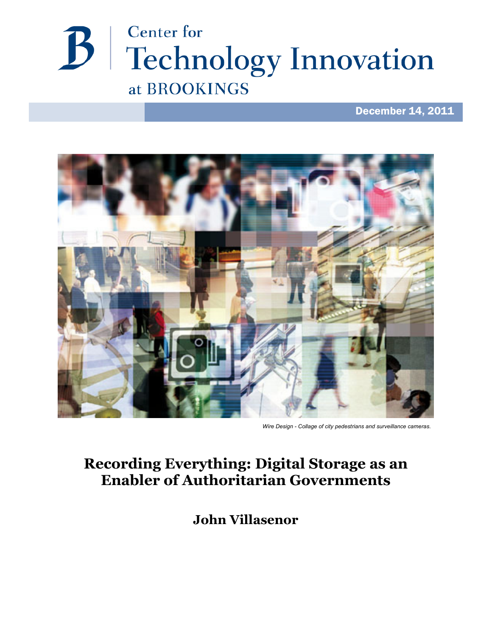

# December 14, 2011



*Wire Design - Collage of city pedestrians and surveillance cameras.*

# **Recording Everything: Digital Storage as an Enabler of Authoritarian Governments**

**John Villasenor**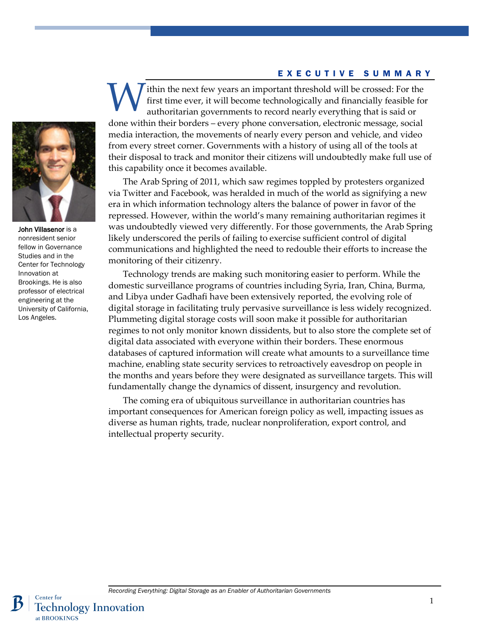#### EXECUTIVE SUMMARY

ithin the next few years an important threshold will be crossed: For the first time ever, it will become technologically and financially feasible for authoritarian governments to record nearly everything that is said or done within their borders – every phone conversation, electronic message, social media interaction, the movements of nearly every person and vehicle, and video from every street corner. Governments with a history of using all of the tools at their disposal to track and monitor their citizens will undoubtedly make full use of this capability once it becomes available. W

The Arab Spring of 2011, which saw regimes toppled by protesters organized via Twitter and Facebook, was heralded in much of the world as signifying a new era in which information technology alters the balance of power in favor of the repressed. However, within the world's many remaining authoritarian regimes it was undoubtedly viewed very differently. For those governments, the Arab Spring likely underscored the perils of failing to exercise sufficient control of digital communications and highlighted the need to redouble their efforts to increase the monitoring of their citizenry.

Technology trends are making such monitoring easier to perform. While the domestic surveillance programs of countries including Syria, Iran, China, Burma, and Libya under Gadhafi have been extensively reported, the evolving role of digital storage in facilitating truly pervasive surveillance is less widely recognized. Plummeting digital storage costs will soon make it possible for authoritarian regimes to not only monitor known dissidents, but to also store the complete set of digital data associated with everyone within their borders. These enormous databases of captured information will create what amounts to a surveillance time machine, enabling state security services to retroactively eavesdrop on people in the months and years before they were designated as surveillance targets. This will fundamentally change the dynamics of dissent, insurgency and revolution.

The coming era of ubiquitous surveillance in authoritarian countries has important consequences for American foreign policy as well, impacting issues as diverse as human rights, trade, nuclear nonproliferation, export control, and intellectual property security.



John Villasenor is a nonresident senior fellow in Governance Studies and in the Center for Technology Innovation at Brookings. He is also professor of electrical engineering at the University of California, Los Angeles.

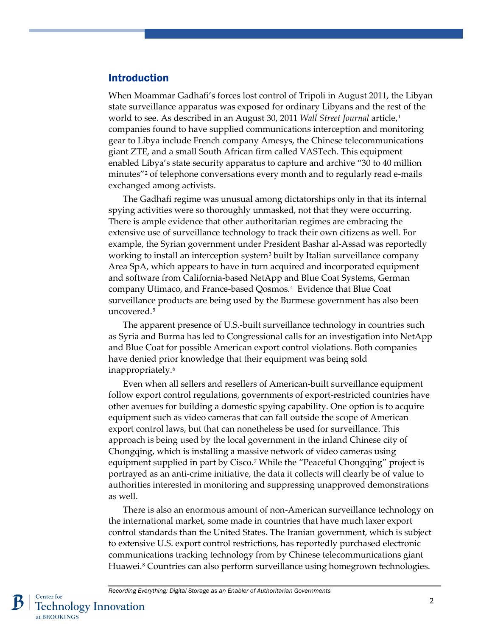### Introduction

When Moammar Gadhafi's forces lost control of Tripoli in August 2011, the Libyan state surveillance apparatus was exposed for ordinary Libyans and the rest of the world to see. As described in an August 30, 2011 *Wall Street Journal* article[,1](#page-10-0) companies found to have supplied communications interception and monitoring gear to Libya include French company Amesys, the Chinese telecommunications giant ZTE, and a small South African firm called VASTech. This equipment enabled Libya's state security apparatus to capture and archive "30 to 40 million minutes["2](#page-10-1) of telephone conversations every month and to regularly read e-mails exchanged among activists.

The Gadhafi regime was unusual among dictatorships only in that its internal spying activities were so thoroughly unmasked, not that they were occurring. There is ample evidence that other authoritarian regimes are embracing the extensive use of surveillance technology to track their own citizens as well. For example, the Syrian government under President Bashar al-Assad was reportedly working to install an interception system [3](#page-10-2) built by Italian surveillance company Area SpA, which appears to have in turn acquired and incorporated equipment and software from California-based NetApp and Blue Coat Systems, German company Utimaco, and France-based Qosmos.[4](#page-10-3) Evidence that Blue Coat surveillance products are being used by the Burmese government has also been uncovered.[5](#page-10-4)

The apparent presence of U.S.-built surveillance technology in countries such as Syria and Burma has led to Congressional calls for an investigation into NetApp and Blue Coat for possible American export control violations. Both companies have denied prior knowledge that their equipment was being sold inappropriately.[6](#page-10-5)

Even when all sellers and resellers of American-built surveillance equipment follow export control regulations, governments of export-restricted countries have other avenues for building a domestic spying capability. One option is to acquire equipment such as video cameras that can fall outside the scope of American export control laws, but that can nonetheless be used for surveillance. This approach is being used by the local government in the inland Chinese city of Chongqing, which is installing a massive network of video cameras using equipment supplied in part by Cisco.<sup>[7](#page-10-6)</sup> While the "Peaceful Chongqing" project is portrayed as an anti-crime initiative, the data it collects will clearly be of value to authorities interested in monitoring and suppressing unapproved demonstrations as well.

There is also an enormous amount of non-American surveillance technology on the international market, some made in countries that have much laxer export control standards than the United States. The Iranian government, which is subject to extensive U.S. export control restrictions, has reportedly purchased electronic communications tracking technology from by Chinese telecommunications giant Huawei. [8](#page-10-7) Countries can also perform surveillance using homegrown technologies.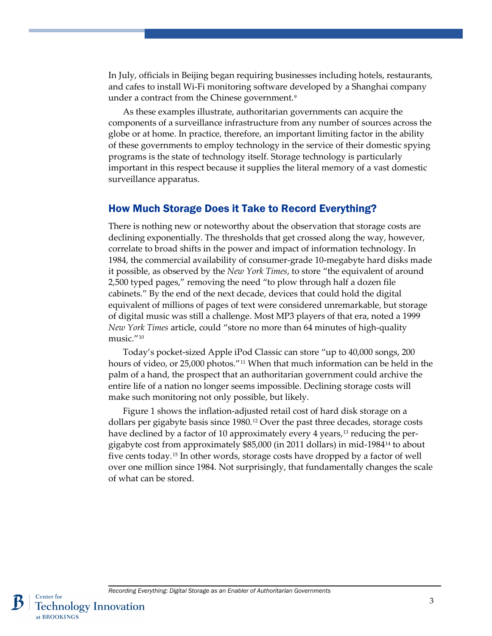In July, officials in Beijing began requiring businesses including hotels, restaurants, and cafes to install Wi-Fi monitoring software developed by a Shanghai company under a contract from the Chinese government.[9](#page-10-8)

As these examples illustrate, authoritarian governments can acquire the components of a surveillance infrastructure from any number of sources across the globe or at home. In practice, therefore, an important limiting factor in the ability of these governments to employ technology in the service of their domestic spying programs is the state of technology itself. Storage technology is particularly important in this respect because it supplies the literal memory of a vast domestic surveillance apparatus.

#### How Much Storage Does it Take to Record Everything?

There is nothing new or noteworthy about the observation that storage costs are declining exponentially. The thresholds that get crossed along the way, however, correlate to broad shifts in the power and impact of information technology. In 1984, the commercial availability of consumer-grade 10-megabyte hard disks made it possible, as observed by the *New York Times*, to store "the equivalent of around 2,500 typed pages," removing the need "to plow through half a dozen file cabinets." By the end of the next decade, devices that could hold the digital equivalent of millions of pages of text were considered unremarkable, but storage of digital music was still a challenge. Most MP3 players of that era, noted a 1999 *New York Times* article, could "store no more than 64 minutes of high-quality music."[10](#page-10-9)

Today's pocket-sized Apple iPod Classic can store "up to 40,000 songs, 200 hours of video, or 25,000 photos."<sup>[11](#page-10-10)</sup> When that much information can be held in the palm of a hand, the prospect that an authoritarian government could archive the entire life of a nation no longer seems impossible. Declining storage costs will make such monitoring not only possible, but likely.

Figure 1 shows the inflation-adjusted retail cost of hard disk storage on a dollars per gigabyte basis since 1980. [12](#page-11-0) Over the past three decades, storage costs have declined by a factor of 10 approximately every 4 years,<sup>[13](#page-11-1)</sup> reducing the pergigabyte cost from approximately \$85,000 (in 2011 dollars) in mid-1984[14](#page-11-2) to about five cents today.[15](#page-11-3) In other words, storage costs have dropped by a factor of well over one million since 1984. Not surprisingly, that fundamentally changes the scale of what can be stored.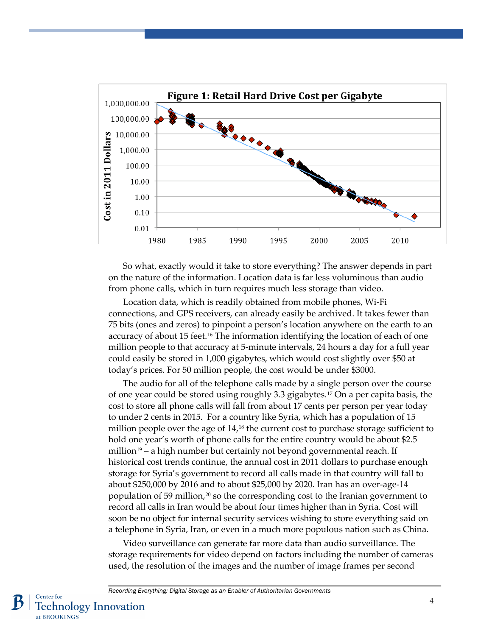

So what, exactly would it take to store everything? The answer depends in part on the nature of the information. Location data is far less voluminous than audio from phone calls, which in turn requires much less storage than video.

Location data, which is readily obtained from mobile phones, Wi-Fi connections, and GPS receivers, can already easily be archived. It takes fewer than 75 bits (ones and zeros) to pinpoint a person's location anywhere on the earth to an accuracy of about 15 feet.<sup>[16](#page-11-4)</sup> The information identifying the location of each of one million people to that accuracy at 5-minute intervals, 24 hours a day for a full year could easily be stored in 1,000 gigabytes, which would cost slightly over \$50 at today's prices. For 50 million people, the cost would be under \$3000.

The audio for all of the telephone calls made by a single person over the course of one year could be stored using roughly 3.3 gigabytes. [17](#page-12-0) On a per capita basis, the cost to store all phone calls will fall from about 17 cents per person per year today to under 2 cents in 2015. For a country like Syria, which has a population of 15 million people over the age of  $14<sub>18</sub>$  $14<sub>18</sub>$  $14<sub>18</sub>$  the current cost to purchase storage sufficient to hold one year's worth of phone calls for the entire country would be about \$2.5 million<sup>[19](#page-12-2)</sup> – a high number but certainly not beyond governmental reach. If historical cost trends continue, the annual cost in 2011 dollars to purchase enough storage for Syria's government to record all calls made in that country will fall to about \$250,000 by 2016 and to about \$25,000 by 2020. Iran has an over-age-14 population of 59 million,<sup>[20](#page-12-3)</sup> so the corresponding cost to the Iranian government to record all calls in Iran would be about four times higher than in Syria. Cost will soon be no object for internal security services wishing to store everything said on a telephone in Syria, Iran, or even in a much more populous nation such as China.

Video surveillance can generate far more data than audio surveillance. The storage requirements for video depend on factors including the number of cameras used, the resolution of the images and the number of image frames per second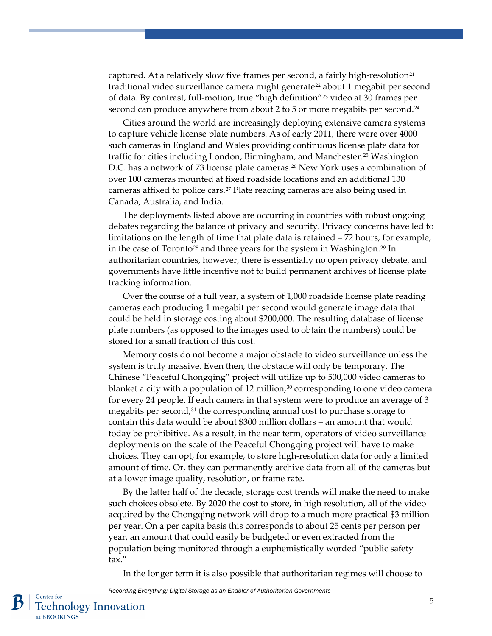captured. At a relatively slow five frames per second, a fairly high-resolution<sup>[21](#page-12-4)</sup> traditional video surveillance camera might generate<sup>[22](#page-12-5)</sup> about 1 megabit per second of data. By contrast, full-motion, true "high definition"[23](#page-12-6) video at 30 frames per second can produce anywhere from about 2 to 5 or more megabits per second.<sup>[24](#page-13-0)</sup>

Cities around the world are increasingly deploying extensive camera systems to capture vehicle license plate numbers. As of early 2011, there were over 4000 such cameras in England and Wales providing continuous license plate data for traffic for cities including London, Birmingham, and Manchester.[25](#page-13-1) Washington D.C. has a network of 73 license plate cameras.[26](#page-13-2) New York uses a combination of over 100 cameras mounted at fixed roadside locations and an additional 130 cameras affixed to police cars.<sup>[27](#page-13-3)</sup> Plate reading cameras are also being used in Canada, Australia, and India.

The deployments listed above are occurring in countries with robust ongoing debates regarding the balance of privacy and security. Privacy concerns have led to limitations on the length of time that plate data is retained – 72 hours, for example, in the case of Toronto [28](#page-13-4) and three years for the system in Washington.[29](#page-13-5) In authoritarian countries, however, there is essentially no open privacy debate, and governments have little incentive not to build permanent archives of license plate tracking information.

Over the course of a full year, a system of 1,000 roadside license plate reading cameras each producing 1 megabit per second would generate image data that could be held in storage costing about \$200,000. The resulting database of license plate numbers (as opposed to the images used to obtain the numbers) could be stored for a small fraction of this cost.

Memory costs do not become a major obstacle to video surveillance unless the system is truly massive. Even then, the obstacle will only be temporary. The Chinese "Peaceful Chongqing" project will utilize up to 500,000 video cameras to blanket a city with a population of 12 million, $30$  corresponding to one video camera for every 24 people. If each camera in that system were to produce an average of 3 megabits per second,<sup>[31](#page-13-7)</sup> the corresponding annual cost to purchase storage to contain this data would be about \$300 million dollars – an amount that would today be prohibitive. As a result, in the near term, operators of video surveillance deployments on the scale of the Peaceful Chongqing project will have to make choices. They can opt, for example, to store high-resolution data for only a limited amount of time. Or, they can permanently archive data from all of the cameras but at a lower image quality, resolution, or frame rate.

By the latter half of the decade, storage cost trends will make the need to make such choices obsolete. By 2020 the cost to store, in high resolution, all of the video acquired by the Chongqing network will drop to a much more practical \$3 million per year. On a per capita basis this corresponds to about 25 cents per person per year, an amount that could easily be budgeted or even extracted from the population being monitored through a euphemistically worded "public safety tax."

In the longer term it is also possible that authoritarian regimes will choose to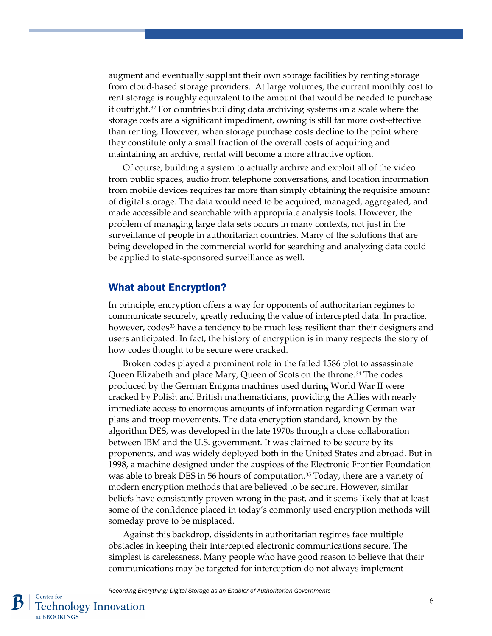augment and eventually supplant their own storage facilities by renting storage from cloud-based storage providers. At large volumes, the current monthly cost to rent storage is roughly equivalent to the amount that would be needed to purchase it outright.[32](#page-13-8) For countries building data archiving systems on a scale where the storage costs are a significant impediment, owning is still far more cost-effective than renting. However, when storage purchase costs decline to the point where they constitute only a small fraction of the overall costs of acquiring and maintaining an archive, rental will become a more attractive option.

Of course, building a system to actually archive and exploit all of the video from public spaces, audio from telephone conversations, and location information from mobile devices requires far more than simply obtaining the requisite amount of digital storage. The data would need to be acquired, managed, aggregated, and made accessible and searchable with appropriate analysis tools. However, the problem of managing large data sets occurs in many contexts, not just in the surveillance of people in authoritarian countries. Many of the solutions that are being developed in the commercial world for searching and analyzing data could be applied to state-sponsored surveillance as well.

### What about Encryption?

In principle, encryption offers a way for opponents of authoritarian regimes to communicate securely, greatly reducing the value of intercepted data. In practice, however, codes<sup>[33](#page-13-9)</sup> have a tendency to be much less resilient than their designers and users anticipated. In fact, the history of encryption is in many respects the story of how codes thought to be secure were cracked.

Broken codes played a prominent role in the failed 1586 plot to assassinate Queen Elizabeth and place Mary, Queen of Scots on the throne. [34](#page-13-10) The codes produced by the German Enigma machines used during World War II were cracked by Polish and British mathematicians, providing the Allies with nearly immediate access to enormous amounts of information regarding German war plans and troop movements. The data encryption standard, known by the algorithm DES, was developed in the late 1970s through a close collaboration between IBM and the U.S. government. It was claimed to be secure by its proponents, and was widely deployed both in the United States and abroad. But in 1998, a machine designed under the auspices of the Electronic Frontier Foundation was able to break DES in 56 hours of computation.<sup>[35](#page-13-11)</sup> Today, there are a variety of modern encryption methods that are believed to be secure. However, similar beliefs have consistently proven wrong in the past, and it seems likely that at least some of the confidence placed in today's commonly used encryption methods will someday prove to be misplaced.

Against this backdrop, dissidents in authoritarian regimes face multiple obstacles in keeping their intercepted electronic communications secure. The simplest is carelessness. Many people who have good reason to believe that their communications may be targeted for interception do not always implement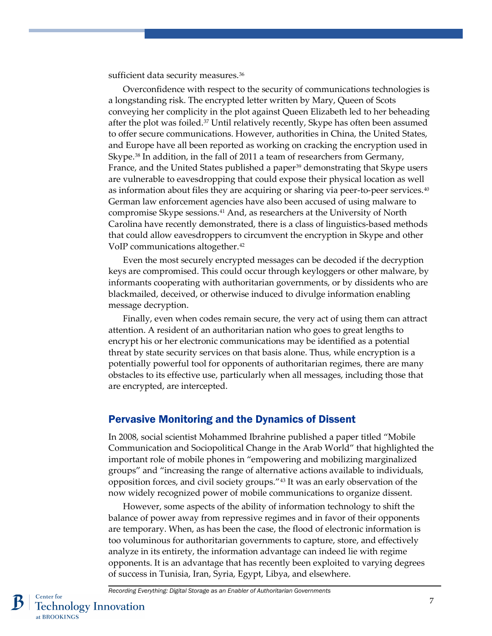sufficient data security measures.<sup>[36](#page-13-12)</sup>

Overconfidence with respect to the security of communications technologies is a longstanding risk. The encrypted letter written by Mary, Queen of Scots conveying her complicity in the plot against Queen Elizabeth led to her beheading after the plot was foiled. $37$  Until relatively recently, Skype has often been assumed to offer secure communications. However, authorities in China, the United States, and Europe have all been reported as working on cracking the encryption used in Skype.<sup>[38](#page-14-0)</sup> In addition, in the fall of 2011 a team of researchers from Germany, France, and the United States published a paper<sup>[39](#page-14-1)</sup> demonstrating that Skype users are vulnerable to eavesdropping that could expose their physical location as well as information about files they are acquiring or sharing via peer-to-peer services.[40](#page-14-2) German law enforcement agencies have also been accused of using malware to compromise Skype sessions[.41](#page-14-3) And, as researchers at the University of North Carolina have recently demonstrated, there is a class of linguistics-based methods that could allow eavesdroppers to circumvent the encryption in Skype and other VoIP communications altogether.[42](#page-14-4)

Even the most securely encrypted messages can be decoded if the decryption keys are compromised. This could occur through keyloggers or other malware, by informants cooperating with authoritarian governments, or by dissidents who are blackmailed, deceived, or otherwise induced to divulge information enabling message decryption.

Finally, even when codes remain secure, the very act of using them can attract attention. A resident of an authoritarian nation who goes to great lengths to encrypt his or her electronic communications may be identified as a potential threat by state security services on that basis alone. Thus, while encryption is a potentially powerful tool for opponents of authoritarian regimes, there are many obstacles to its effective use, particularly when all messages, including those that are encrypted, are intercepted.

#### Pervasive Monitoring and the Dynamics of Dissent

In 2008, social scientist Mohammed Ibrahrine published a paper titled "Mobile Communication and Sociopolitical Change in the Arab World" that highlighted the important role of mobile phones in "empowering and mobilizing marginalized groups" and "increasing the range of alternative actions available to individuals, opposition forces, and civil society groups."[43](#page-14-5) It was an early observation of the now widely recognized power of mobile communications to organize dissent.

However, some aspects of the ability of information technology to shift the balance of power away from repressive regimes and in favor of their opponents are temporary. When, as has been the case, the flood of electronic information is too voluminous for authoritarian governments to capture, store, and effectively analyze in its entirety, the information advantage can indeed lie with regime opponents. It is an advantage that has recently been exploited to varying degrees of success in Tunisia, Iran, Syria, Egypt, Libya, and elsewhere.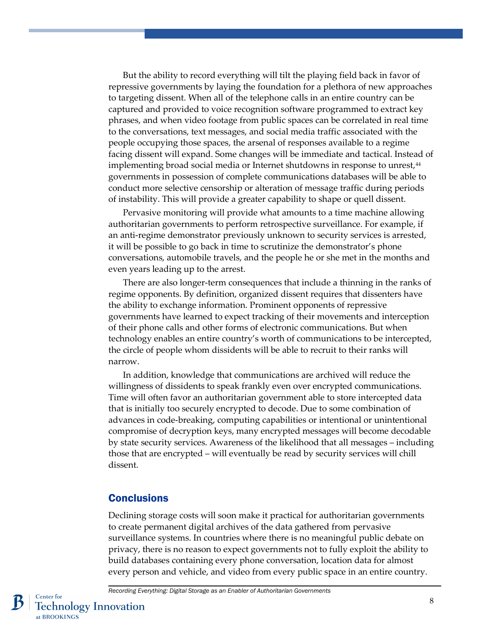But the ability to record everything will tilt the playing field back in favor of repressive governments by laying the foundation for a plethora of new approaches to targeting dissent. When all of the telephone calls in an entire country can be captured and provided to voice recognition software programmed to extract key phrases, and when video footage from public spaces can be correlated in real time to the conversations, text messages, and social media traffic associated with the people occupying those spaces, the arsenal of responses available to a regime facing dissent will expand. Some changes will be immediate and tactical. Instead of implementing broad social media or Internet shutdowns in response to unrest,<sup>44</sup> governments in possession of complete communications databases will be able to conduct more selective censorship or alteration of message traffic during periods of instability. This will provide a greater capability to shape or quell dissent.

Pervasive monitoring will provide what amounts to a time machine allowing authoritarian governments to perform retrospective surveillance. For example, if an anti-regime demonstrator previously unknown to security services is arrested, it will be possible to go back in time to scrutinize the demonstrator's phone conversations, automobile travels, and the people he or she met in the months and even years leading up to the arrest.

There are also longer-term consequences that include a thinning in the ranks of regime opponents. By definition, organized dissent requires that dissenters have the ability to exchange information. Prominent opponents of repressive governments have learned to expect tracking of their movements and interception of their phone calls and other forms of electronic communications. But when technology enables an entire country's worth of communications to be intercepted, the circle of people whom dissidents will be able to recruit to their ranks will narrow.

In addition, knowledge that communications are archived will reduce the willingness of dissidents to speak frankly even over encrypted communications. Time will often favor an authoritarian government able to store intercepted data that is initially too securely encrypted to decode. Due to some combination of advances in code-breaking, computing capabilities or intentional or unintentional compromise of decryption keys, many encrypted messages will become decodable by state security services. Awareness of the likelihood that all messages – including those that are encrypted – will eventually be read by security services will chill dissent.

#### **Conclusions**

Declining storage costs will soon make it practical for authoritarian governments to create permanent digital archives of the data gathered from pervasive surveillance systems. In countries where there is no meaningful public debate on privacy, there is no reason to expect governments not to fully exploit the ability to build databases containing every phone conversation, location data for almost every person and vehicle, and video from every public space in an entire country.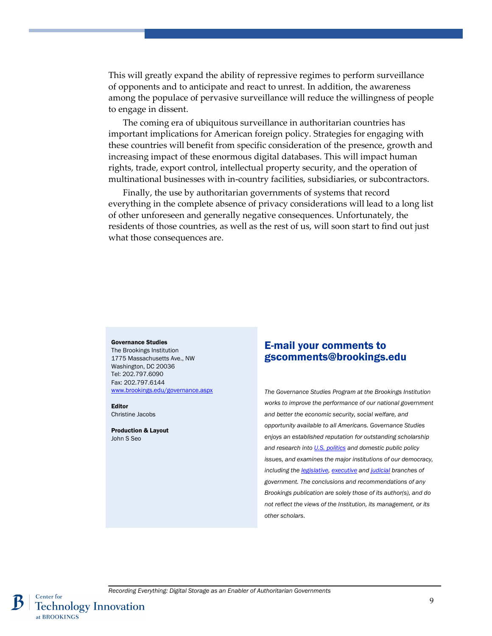This will greatly expand the ability of repressive regimes to perform surveillance of opponents and to anticipate and react to unrest. In addition, the awareness among the populace of pervasive surveillance will reduce the willingness of people to engage in dissent.

The coming era of ubiquitous surveillance in authoritarian countries has important implications for American foreign policy. Strategies for engaging with these countries will benefit from specific consideration of the presence, growth and increasing impact of these enormous digital databases. This will impact human rights, trade, export control, intellectual property security, and the operation of multinational businesses with in-country facilities, subsidiaries, or subcontractors.

Finally, the use by authoritarian governments of systems that record everything in the complete absence of privacy considerations will lead to a long list of other unforeseen and generally negative consequences. Unfortunately, the residents of those countries, as well as the rest of us, will soon start to find out just what those consequences are.

#### Governance Studies The Brookings Institution 1775 Massachusetts Ave., NW Washington, DC 20036 Tel: 202.797.6090 Fax: 202.797.6144

[www.brookings.edu/governance.aspx](http://www.brookings.edu/governance.aspx)

Editor Christine Jacobs

Production & Layout John S Seo

### E-mail your comments to gscomments@brookings.edu

*The Governance Studies Program at the Brookings Institution works to improve the performance of our national government and better the economic security, social welfare, and opportunity available to all Americans. Governance Studies enjoys an established reputation for outstanding scholarship and research int[o U.S. politics](http://www.brookings.edu/topics/u-s--politics.aspx) and domestic public policy issues, and examines the major institutions of our democracy, including th[e legislative,](http://www.brookings.edu/topics/u-s--congress.aspx) [executive](http://www.brookings.edu/topics/executive-branch.aspx) an[d judicial](http://www.brookings.edu/topics/u-s--judiciary.aspx) branches of government. The conclusions and recommendations of any Brookings publication are solely those of its author(s), and do not reflect the views of the Institution, its management, or its other scholars*.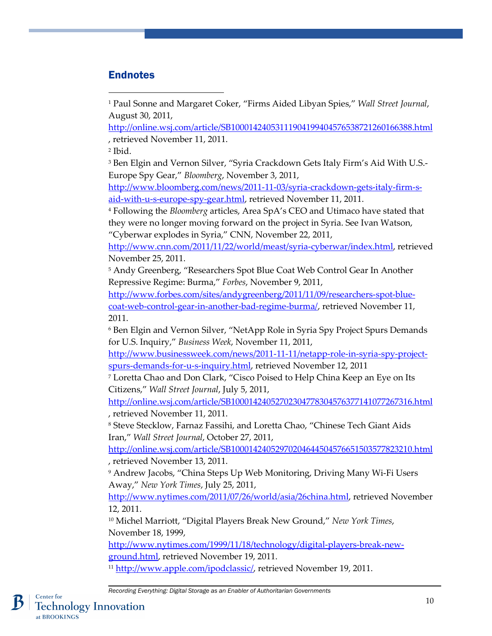# **Endnotes**

<span id="page-10-0"></span><sup>1</sup> Paul Sonne and Margaret Coker, "Firms Aided Libyan Spies," *Wall Street Journal*, August 30, 2011,

<http://online.wsj.com/article/SB10001424053111904199404576538721260166388.html> , retrieved November 11, 2011.

<span id="page-10-1"></span><sup>2</sup> Ibid.

 $\overline{a}$ 

<span id="page-10-2"></span><sup>3</sup> Ben Elgin and Vernon Silver, "Syria Crackdown Gets Italy Firm's Aid With U.S.-Europe Spy Gear," *Bloomberg*, November 3, 2011,

[http://www.bloomberg.com/news/2011-11-03/syria-crackdown-gets-italy-firm-s](http://www.bloomberg.com/news/2011-11-03/syria-crackdown-gets-italy-firm-s-aid-with-u-s-europe-spy-gear.html)[aid-with-u-s-europe-spy-gear.html,](http://www.bloomberg.com/news/2011-11-03/syria-crackdown-gets-italy-firm-s-aid-with-u-s-europe-spy-gear.html) retrieved November 11, 2011.

<span id="page-10-3"></span><sup>4</sup> Following the *Bloomberg* articles, Area SpA's CEO and Utimaco have stated that they were no longer moving forward on the project in Syria. See Ivan Watson, "Cyberwar explodes in Syria," CNN, November 22, 2011,

[http://www.cnn.com/2011/11/22/world/meast/syria-cyberwar/index.html,](http://www.cnn.com/2011/11/22/world/meast/syria-cyberwar/index.html) retrieved November 25, 2011.

<span id="page-10-4"></span><sup>5</sup> Andy Greenberg, "Researchers Spot Blue Coat Web Control Gear In Another Repressive Regime: Burma," *Forbes*, November 9, 2011,

[http://www.forbes.com/sites/andygreenberg/2011/11/09/researchers-spot-blue](http://www.forbes.com/sites/andygreenberg/2011/11/09/researchers-spot-blue-coat-web-control-gear-in-another-bad-regime-burma/)[coat-web-control-gear-in-another-bad-regime-burma/,](http://www.forbes.com/sites/andygreenberg/2011/11/09/researchers-spot-blue-coat-web-control-gear-in-another-bad-regime-burma/) retrieved November 11, 2011.

<span id="page-10-5"></span><sup>6</sup> Ben Elgin and Vernon Silver, "NetApp Role in Syria Spy Project Spurs Demands for U.S. Inquiry," *Business Week*, November 11, 2011,

[http://www.businessweek.com/news/2011-11-11/netapp-role-in-syria-spy-project](http://www.businessweek.com/news/2011-11-11/netapp-role-in-syria-spy-project-spurs-demands-for-u-s-inquiry.html)[spurs-demands-for-u-s-inquiry.html,](http://www.businessweek.com/news/2011-11-11/netapp-role-in-syria-spy-project-spurs-demands-for-u-s-inquiry.html) retrieved November 12, 2011

<span id="page-10-6"></span><sup>7</sup> Loretta Chao and Don Clark, "Cisco Poised to Help China Keep an Eye on Its Citizens," *Wall Street Journal*, July 5, 2011,

<http://online.wsj.com/article/SB10001424052702304778304576377141077267316.html> , retrieved November 11, 2011.

<span id="page-10-7"></span><sup>8</sup> Steve Stecklow, Farnaz Fassihi, and Loretta Chao, "Chinese Tech Giant Aids Iran," *Wall Street Journal*, October 27, 2011,

<http://online.wsj.com/article/SB10001424052970204644504576651503577823210.html> , retrieved November 13, 2011.

<span id="page-10-8"></span><sup>9</sup> Andrew Jacobs, "China Steps Up Web Monitoring, Driving Many Wi-Fi Users Away," *New York Times*, July 25, 2011,

[http://www.nytimes.com/2011/07/26/world/asia/26china.html,](http://www.nytimes.com/2011/07/26/world/asia/26china.html) retrieved November 12, 2011.

<span id="page-10-9"></span><sup>10</sup> Michel Marriott, "Digital Players Break New Ground," *New York Times*, November 18, 1999,

[http://www.nytimes.com/1999/11/18/technology/digital-players-break-new](http://www.nytimes.com/1999/11/18/technology/digital-players-break-new-ground.html)[ground.html,](http://www.nytimes.com/1999/11/18/technology/digital-players-break-new-ground.html) retrieved November 19, 2011.

<span id="page-10-10"></span><sup>11</sup> [http://www.apple.com/ipodclassic/,](http://www.apple.com/ipodclassic/) retrieved November 19, 2011.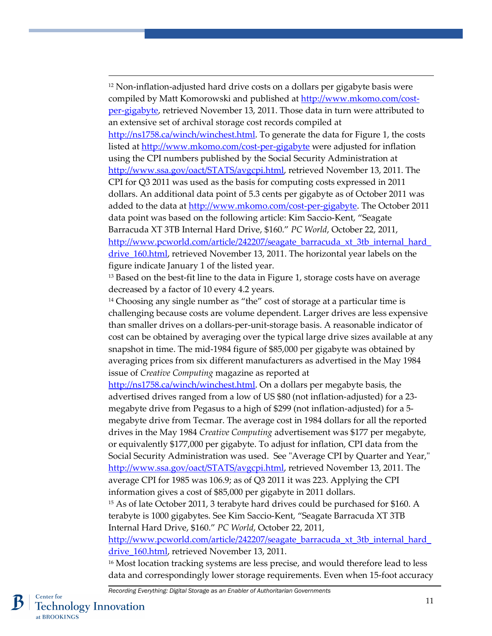<span id="page-11-0"></span> $12$  Non-inflation-adjusted hard drive costs on a dollars per gigabyte basis were compiled by Matt Komorowski and published at [http://www.mkomo.com/cost](http://www.mkomo.com/cost-per-gigabyte)[per-gigabyte,](http://www.mkomo.com/cost-per-gigabyte) retrieved November 13, 2011. Those data in turn were attributed to an extensive set of archival storage cost records compiled at [http://ns1758.ca/winch/winchest.html.](http://ns1758.ca/winch/winchest.html) To generate the data for Figure 1, the costs listed at<http://www.mkomo.com/cost-per-gigabyte> were adjusted for inflation using the CPI numbers published by the Social Security Administration at [http://www.ssa.gov/oact/STATS/avgcpi.html,](http://www.ssa.gov/oact/STATS/avgcpi.html) retrieved November 13, 2011. The CPI for Q3 2011 was used as the basis for computing costs expressed in 2011 dollars. An additional data point of 5.3 cents per gigabyte as of October 2011 was added to the data at [http://www.mkomo.com/cost-per-gigabyte.](http://www.mkomo.com/cost-per-gigabyte) The October 2011 data point was based on the following article: Kim Saccio-Kent, "Seagate Barracuda XT 3TB Internal Hard Drive, \$160." *PC World*, October 22, 2011, [http://www.pcworld.com/article/242207/seagate\\_barracuda\\_xt\\_3tb\\_internal\\_hard\\_](http://www.pcworld.com/article/242207/seagate_barracuda_xt_3tb_internal_hard_drive_160.html) drive 160.html, retrieved November 13, 2011. The horizontal year labels on the figure indicate January 1 of the listed year.

<span id="page-11-1"></span><sup>13</sup> Based on the best-fit line to the data in Figure 1, storage costs have on average decreased by a factor of 10 every 4.2 years.

<span id="page-11-2"></span><sup>14</sup> Choosing any single number as "the" cost of storage at a particular time is challenging because costs are volume dependent. Larger drives are less expensive than smaller drives on a dollars-per-unit-storage basis. A reasonable indicator of cost can be obtained by averaging over the typical large drive sizes available at any snapshot in time. The mid-1984 figure of \$85,000 per gigabyte was obtained by averaging prices from six different manufacturers as advertised in the May 1984 issue of *Creative Computing* magazine as reported at

[http://ns1758.ca/winch/winchest.html.](http://ns1758.ca/winch/winchest.html) On a dollars per megabyte basis, the advertised drives ranged from a low of US \$80 (not inflation-adjusted) for a 23 megabyte drive from Pegasus to a high of \$299 (not inflation-adjusted) for a 5 megabyte drive from Tecmar. The average cost in 1984 dollars for all the reported drives in the May 1984 *Creative Computing* advertisement was \$177 per megabyte, or equivalently \$177,000 per gigabyte. To adjust for inflation, CPI data from the Social Security Administration was used. See "Average CPI by Quarter and Year," [http://www.ssa.gov/oact/STATS/avgcpi.html,](http://www.ssa.gov/oact/STATS/avgcpi.html) retrieved November 13, 2011. The average CPI for 1985 was 106.9; as of Q3 2011 it was 223. Applying the CPI information gives a cost of \$85,000 per gigabyte in 2011 dollars.

<span id="page-11-3"></span><sup>15</sup> As of late October 2011, 3 terabyte hard drives could be purchased for \$160. A terabyte is 1000 gigabytes. See Kim Saccio-Kent, "Seagate Barracuda XT 3TB Internal Hard Drive, \$160." *PC World*, October 22, 2011,

[http://www.pcworld.com/article/242207/seagate\\_barracuda\\_xt\\_3tb\\_internal\\_hard\\_](http://www.pcworld.com/article/242207/seagate_barracuda_xt_3tb_internal_hard_drive_160.html) drive 160.html, retrieved November 13, 2011.

<span id="page-11-4"></span><sup>16</sup> Most location tracking systems are less precise, and would therefore lead to less data and correspondingly lower storage requirements. Even when 15-foot accuracy

 $\overline{a}$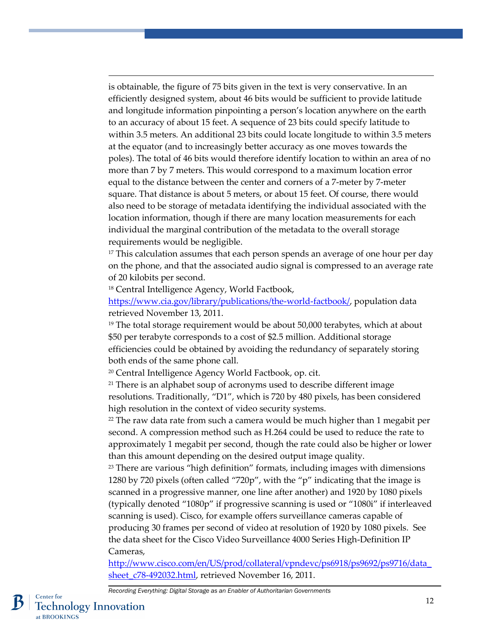is obtainable, the figure of 75 bits given in the text is very conservative. In an efficiently designed system, about 46 bits would be sufficient to provide latitude and longitude information pinpointing a person's location anywhere on the earth to an accuracy of about 15 feet. A sequence of 23 bits could specify latitude to within 3.5 meters. An additional 23 bits could locate longitude to within 3.5 meters at the equator (and to increasingly better accuracy as one moves towards the poles). The total of 46 bits would therefore identify location to within an area of no more than 7 by 7 meters. This would correspond to a maximum location error equal to the distance between the center and corners of a 7-meter by 7-meter square. That distance is about 5 meters, or about 15 feet. Of course, there would also need to be storage of metadata identifying the individual associated with the location information, though if there are many location measurements for each individual the marginal contribution of the metadata to the overall storage requirements would be negligible.

<span id="page-12-0"></span><sup>17</sup> This calculation assumes that each person spends an average of one hour per day on the phone, and that the associated audio signal is compressed to an average rate of 20 kilobits per second.

<span id="page-12-1"></span><sup>18</sup> Central Intelligence Agency, World Factbook,

 $\overline{a}$ 

[https://www.cia.gov/library/publications/the-world-factbook/,](https://www.cia.gov/library/publications/the-world-factbook/) population data retrieved November 13, 2011.

<span id="page-12-2"></span> $19$  The total storage requirement would be about 50,000 terabytes, which at about \$50 per terabyte corresponds to a cost of \$2.5 million. Additional storage efficiencies could be obtained by avoiding the redundancy of separately storing both ends of the same phone call.

<span id="page-12-3"></span><sup>20</sup> Central Intelligence Agency World Factbook, op. cit.

<span id="page-12-4"></span><sup>21</sup> There is an alphabet soup of acronyms used to describe different image resolutions. Traditionally, "D1", which is 720 by 480 pixels, has been considered high resolution in the context of video security systems.

<span id="page-12-5"></span> $22$  The raw data rate from such a camera would be much higher than 1 megabit per second. A compression method such as H.264 could be used to reduce the rate to approximately 1 megabit per second, though the rate could also be higher or lower than this amount depending on the desired output image quality.

<span id="page-12-6"></span> $23$  There are various "high definition" formats, including images with dimensions 1280 by 720 pixels (often called "720p", with the "p" indicating that the image is scanned in a progressive manner, one line after another) and 1920 by 1080 pixels (typically denoted "1080p" if progressive scanning is used or "1080i" if interleaved scanning is used). Cisco, for example offers surveillance cameras capable of producing 30 frames per second of video at resolution of 1920 by 1080 pixels. See the data sheet for the Cisco Video Surveillance 4000 Series High-Definition IP Cameras,

[http://www.cisco.com/en/US/prod/collateral/vpndevc/ps6918/ps9692/ps9716/data\\_](http://www.cisco.com/en/US/prod/collateral/vpndevc/ps6918/ps9692/ps9716/data_sheet_c78-492032.html) sheet c78-492032.html, retrieved November 16, 2011.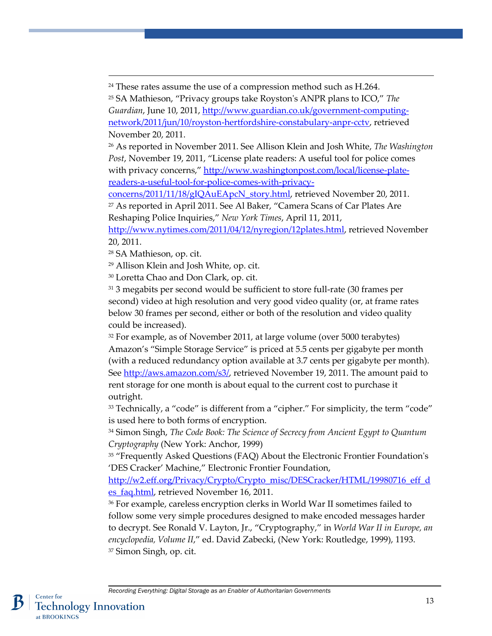<span id="page-13-0"></span><sup>24</sup> These rates assume the use of a compression method such as H.264.

<span id="page-13-1"></span><sup>25</sup> SA Mathieson, "Privacy groups take Royston's ANPR plans to ICO," *The Guardian*, June 10, 2011, [http://www.guardian.co.uk/government-computing](http://www.guardian.co.uk/government-computing-network/2011/jun/10/royston-hertfordshire-constabulary-anpr-cctv)[network/2011/jun/10/royston-hertfordshire-constabulary-anpr-cctv,](http://www.guardian.co.uk/government-computing-network/2011/jun/10/royston-hertfordshire-constabulary-anpr-cctv) retrieved November 20, 2011.

<span id="page-13-2"></span><sup>26</sup> As reported in November 2011. See Allison Klein and Josh White, *The Washington Post*, November 19, 2011, "License plate readers: A useful tool for police comes with privacy concerns," [http://www.washingtonpost.com/local/license-plate](http://www.washingtonpost.com/local/license-plate-readers-a-useful-tool-for-police-comes-with-privacy-concerns/2011/11/18/gIQAuEApcN_story.html)[readers-a-useful-tool-for-police-comes-with-privacy-](http://www.washingtonpost.com/local/license-plate-readers-a-useful-tool-for-police-comes-with-privacy-concerns/2011/11/18/gIQAuEApcN_story.html)

<span id="page-13-3"></span>[concerns/2011/11/18/gIQAuEApcN\\_story.html,](http://www.washingtonpost.com/local/license-plate-readers-a-useful-tool-for-police-comes-with-privacy-concerns/2011/11/18/gIQAuEApcN_story.html) retrieved November 20, 2011. <sup>27</sup> As reported in April 2011. See Al Baker, "Camera Scans of Car Plates Are

Reshaping Police Inquiries," *New York Times*, April 11, 2011,

[http://www.nytimes.com/2011/04/12/nyregion/12plates.html,](http://www.nytimes.com/2011/04/12/nyregion/12plates.html) retrieved November 20, 2011.

<span id="page-13-5"></span><span id="page-13-4"></span><sup>28</sup> SA Mathieson, op. cit.

 $\overline{a}$ 

<sup>29</sup> Allison Klein and Josh White, op. cit.

<span id="page-13-6"></span><sup>30</sup> Loretta Chao and Don Clark, op. cit.

<span id="page-13-7"></span><sup>31</sup> 3 megabits per second would be sufficient to store full-rate (30 frames per second) video at high resolution and very good video quality (or, at frame rates below 30 frames per second, either or both of the resolution and video quality could be increased).

<span id="page-13-8"></span><sup>32</sup> For example, as of November 2011, at large volume (over 5000 terabytes) Amazon's "Simple Storage Service" is priced at 5.5 cents per gigabyte per month (with a reduced redundancy option available at 3.7 cents per gigabyte per month). See [http://aws.amazon.com/s3/,](http://aws.amazon.com/s3/) retrieved November 19, 2011. The amount paid to rent storage for one month is about equal to the current cost to purchase it outright.

<span id="page-13-9"></span> $33$  Technically, a "code" is different from a "cipher." For simplicity, the term "code" is used here to both forms of encryption.

<span id="page-13-10"></span><sup>34</sup> Simon Singh, *The Code Book: The Science of Secrecy from Ancient Egypt to Quantum Cryptography* (New York: Anchor, 1999)

<span id="page-13-11"></span><sup>35</sup> "Frequently Asked Questions (FAQ) About the Electronic Frontier Foundation's 'DES Cracker' Machine," Electronic Frontier Foundation,

[http://w2.eff.org/Privacy/Crypto/Crypto\\_misc/DESCracker/HTML/19980716\\_eff\\_d](http://w2.eff.org/Privacy/Crypto/Crypto_misc/DESCracker/HTML/19980716_eff_des_faq.html) [es\\_faq.html,](http://w2.eff.org/Privacy/Crypto/Crypto_misc/DESCracker/HTML/19980716_eff_des_faq.html) retrieved November 16, 2011.

<sup>36</sup> For example, careless encryption clerks in World War II sometimes failed to follow some very simple procedures designed to make encoded messages harder to decrypt. See Ronald V. Layton, Jr., "Cryptography," in *World War II in Europe, an encyclopedia, Volume II*," ed. David Zabecki, (New York: Routledge, 1999), 1193. <sup>37</sup> Simon Singh, op. cit.

*Recording Everything: Digital Storage as an Enabler of Authoritarian Governments*

<span id="page-13-13"></span><span id="page-13-12"></span>Center for